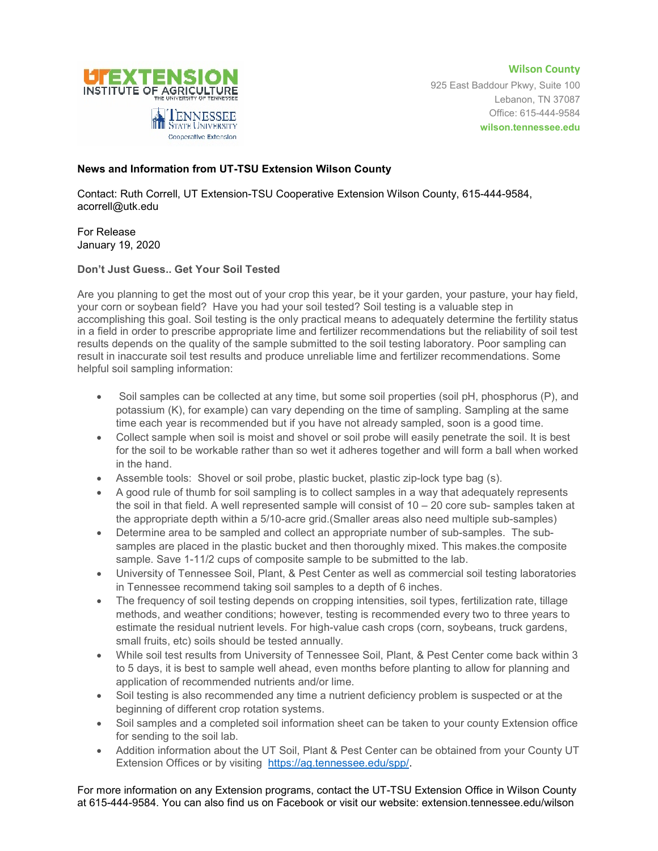



925 East Baddour Pkwy, Suite 100 Lebanon, TN 37087 Office: 615-444-9584 **wilson.tennessee.edu**

## **News and Information from UT-TSU Extension Wilson County**

Contact: Ruth Correll, UT Extension-TSU Cooperative Extension Wilson County, 615-444-9584, acorrell@utk.edu

For Release January 19, 2020

## **Don't Just Guess.. Get Your Soil Tested**

Are you planning to get the most out of your crop this year, be it your garden, your pasture, your hay field, your corn or soybean field? Have you had your soil tested? Soil testing is a valuable step in accomplishing this goal. Soil testing is the only practical means to adequately determine the fertility status in a field in order to prescribe appropriate lime and fertilizer recommendations but the reliability of soil test results depends on the quality of the sample submitted to the soil testing laboratory. Poor sampling can result in inaccurate soil test results and produce unreliable lime and fertilizer recommendations. Some helpful soil sampling information:

- Soil samples can be collected at any time, but some soil properties (soil pH, phosphorus (P), and potassium (K), for example) can vary depending on the time of sampling. Sampling at the same time each year is recommended but if you have not already sampled, soon is a good time.
- Collect sample when soil is moist and shovel or soil probe will easily penetrate the soil. It is best for the soil to be workable rather than so wet it adheres together and will form a ball when worked in the hand.
- Assemble tools: Shovel or soil probe, plastic bucket, plastic zip-lock type bag (s).
- A good rule of thumb for soil sampling is to collect samples in a way that adequately represents the soil in that field. A well represented sample will consist of 10 – 20 core sub- samples taken at the appropriate depth within a 5/10-acre grid.(Smaller areas also need multiple sub-samples)
- Determine area to be sampled and collect an appropriate number of sub-samples. The subsamples are placed in the plastic bucket and then thoroughly mixed. This makes.the composite sample. Save 1-11/2 cups of composite sample to be submitted to the lab.
- University of Tennessee Soil, Plant, & Pest Center as well as commercial soil testing laboratories in Tennessee recommend taking soil samples to a depth of 6 inches.
- The frequency of soil testing depends on cropping intensities, soil types, fertilization rate, tillage methods, and weather conditions; however, testing is recommended every two to three years to estimate the residual nutrient levels. For high-value cash crops (corn, soybeans, truck gardens, small fruits, etc) soils should be tested annually.
- While soil test results from University of Tennessee Soil, Plant, & Pest Center come back within 3 to 5 days, it is best to sample well ahead, even months before planting to allow for planning and application of recommended nutrients and/or lime.
- Soil testing is also recommended any time a nutrient deficiency problem is suspected or at the beginning of different crop rotation systems.
- Soil samples and a completed soil information sheet can be taken to your county Extension office for sending to the soil lab.
- Addition information about the UT Soil, Plant & Pest Center can be obtained from your County UT Extension Offices or by visiting [https://ag.tennessee.edu/spp/.](https://ag.tennessee.edu/spp/)

For more information on any Extension programs, contact the UT-TSU Extension Office in Wilson County at 615-444-9584. You can also find us on Facebook or visit our website: extension.tennessee.edu/wilson